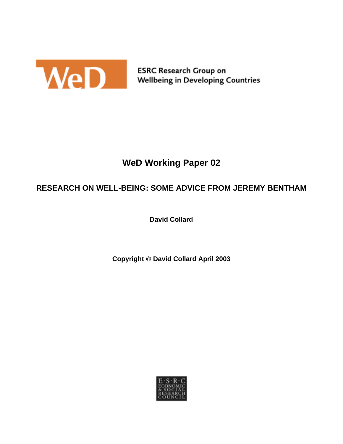

# **WeD Working Paper 02**

## **RESEARCH ON WELL-BEING: SOME ADVICE FROM JEREMY BENTHAM**

**David Collard** 

**Copyright David Collard April 2003** 

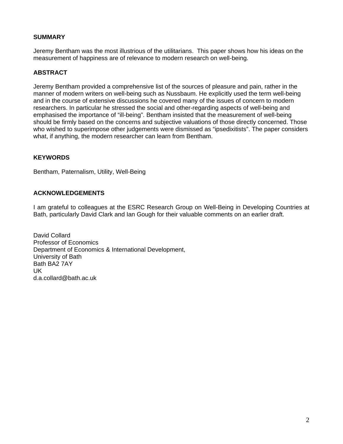#### **SUMMARY**

Jeremy Bentham was the most illustrious of the utilitarians. This paper shows how his ideas on the measurement of happiness are of relevance to modern research on well-being.

### **ABSTRACT**

Jeremy Bentham provided a comprehensive list of the sources of pleasure and pain, rather in the manner of modern writers on well-being such as Nussbaum. He explicitly used the term well-being and in the course of extensive discussions he covered many of the issues of concern to modern researchers. In particular he stressed the social and other-regarding aspects of well-being and emphasised the importance of "ill-being". Bentham insisted that the measurement of well-being should be firmly based on the concerns and subjective valuations of those directly concerned. Those who wished to superimpose other judgements were dismissed as "ipsedixitists". The paper considers what, if anything, the modern researcher can learn from Bentham.

### **KEYWORDS**

Bentham, Paternalism, Utility, Well-Being

### **ACKNOWLEDGEMENTS**

I am grateful to colleagues at the ESRC Research Group on Well-Being in Developing Countries at Bath, particularly David Clark and Ian Gough for their valuable comments on an earlier draft.

David Collard Professor of Economics Department of Economics & International Development, University of Bath Bath BA2 7AY UK d.a.collard@bath.ac.uk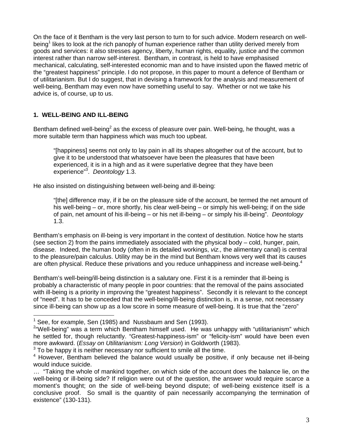On the face of it Bentham is the very last person to turn to for such advice. Modern research on well-being<sup>[1](#page-2-0)</sup> likes to look at the rich panoply of human experience rather than utility derived merely from goods and services: it also stresses agency, liberty, human rights, equality, justice and the common interest rather than narrow self-interest. Bentham, in contrast, is held to have emphasised mechanical, calculating, self-interested economic man and to have insisted upon the flawed metric of the "greatest happiness" principle. I do not propose, in this paper to mount a defence of Bentham or of utilitarianism. But I do suggest, that in devising a framework for the analysis and measurement of well-being, Bentham may even now have something useful to say. Whether or not we take his advice is, of course, up to us.

### **1. WELL-BEING AND ILL-BEING**

1

Bentham defined well-being<sup>[2](#page-2-1)</sup> as the excess of pleasure over pain. Well-being, he thought, was a more suitable term than happiness which was much too upbeat.

"[happiness] seems not only to lay pain in all its shapes altogether out of the account, but to give it to be understood that whatsoever have been the pleasures that have been experienced, it is in a high and as it were superlative degree that they have been experience"[3](#page-2-2) . *Deontology* 1.3.

He also insisted on distinguishing between well-being and ill-being:

"[the] difference may, if it be on the pleasure side of the account, be termed the net amount of his well-being – or, more shortly, his clear well-being – or simply his well-being; if on the side of pain, net amount of his ill-being – or his net ill-being – or simply his ill-being". *Deontology*  1.3.

Bentham's emphasis on ill-being is very important in the context of destitution. Notice how he starts (see section 2) from the pains immediately associated with the physical body – cold, hunger, pain, disease. Indeed, the human body (often in its detailed workings, *viz.,* the alimentary canal) is central to the pleasure/pain calculus. Utility may be in the mind but Bentham knows very well that its causes are often physical. Reduce these privations and you reduce unhappiness and increase well-being.<sup>[4](#page-2-3)</sup>

Bentham's well-being/ill-being distinction is a salutary one. First it is a reminder that ill-being is probably a characteristic of many people in poor countries: that the removal of the pains associated with ill-being is a priority in improving the "greatest happiness". Secondly it is relevant to the concept of "need". It has to be conceded that the well-being/ill-being distinction is, in a sense, not necessary since ill-being can show up as a low score in some measure of well-being. It is true that the "zero"

<span id="page-2-0"></span><sup>&</sup>lt;sup>1</sup> See, for example, Sen (1985) and Nussbaum and Sen (1993).

<span id="page-2-1"></span><sup>&</sup>lt;sup>2</sup>"Well-being" was a term which Bentham himself used. He was unhappy with "utilitarianism" which he settled for, though reluctantly. "Greatest-happiness-ism" or "felicity-ism" would have been even more awkward. (*Essay on Utilitarianism: Long Version*) in Goldworth (1983).

<span id="page-2-2"></span> $3$  To be happy it is neither necessary nor sufficient to smile all the time.

<span id="page-2-3"></span><sup>&</sup>lt;sup>4</sup> However, Bentham believed the balance would usually be positive, if only because net ill-being would induce suicide.

<sup>… &</sup>quot;Taking the whole of mankind together, on which side of the account does the balance lie, on the well-being or ill-being side? If religion were out of the question, the answer would require scarce a moment's thought; on the side of well-being beyond dispute; of well-being existence itself is a conclusive proof. So small is the quantity of pain necessarily accompanying the termination of existence" (130-131).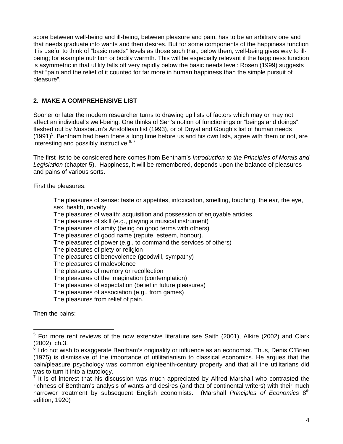score between well-being and ill-being, between pleasure and pain, has to be an arbitrary one and that needs graduate into wants and then desires. But for some components of the happiness function it is useful to think of "basic needs" levels as those such that, below them, well-being gives way to illbeing; for example nutrition or bodily warmth. This will be especially relevant if the happiness function is asymmetric in that utility falls off very rapidly below the basic needs level: Rosen (1999) suggests that "pain and the relief of it counted for far more in human happiness than the simple pursuit of pleasure".

## **2. MAKE A COMPREHENSIVE LIST**

Sooner or later the modern researcher turns to drawing up lists of factors which may or may not affect an individual's well-being. One thinks of Sen's notion of functionings or "beings and doings", fleshed out by Nussbaum's Aristotlean list (1993), or of Doyal and Gough's list of human needs  $(1991)^5$  $(1991)^5$ . Bentham had been there a long time before us and his own lists, agree with them or not, are interesting and possibly instructive.  $6, 7$ 

The first list to be considered here comes from Bentham's *Introduction to the Principles of Morals and Legislation* (chapter 5). Happiness, it will be remembered, depends upon the balance of pleasures and pains of various sorts.

First the pleasures:

The pleasures of sense: taste or appetites, intoxication, smelling, touching, the ear, the eye, sex, health, novelty.

The pleasures of wealth: acquisition and possession of enjoyable articles.

The pleasures of skill (e.g., playing a musical instrument)

The pleasures of amity (being on good terms with others)

The pleasures of good name (repute, esteem, honour).

The pleasures of power (e.g., to command the services of others)

The pleasures of piety or religion

The pleasures of benevolence (goodwill, sympathy)

The pleasures of malevolence

The pleasures of memory or recollection

The pleasures of the imagination (contemplation)

The pleasures of expectation (belief in future pleasures)

The pleasures of association (e.g., from games)

The pleasures from relief of pain.

Then the pains:

<u>.</u>

<span id="page-3-0"></span><sup>&</sup>lt;sup>5</sup> For more rent reviews of the now extensive literature see Saith (2001), Alkire (2002) and Clark  $(2002)$ , ch.3.

<span id="page-3-1"></span> $6$  I do not wish to exaggerate Bentham's originality or influence as an economist. Thus, Denis O'Brien (1975) is dismissive of the importance of utilitarianism to classical economics. He argues that the pain/pleasure psychology was common eighteenth-century property and that all the utilitarians did was to turn it into a tautology.

<span id="page-3-2"></span> $<sup>7</sup>$  It is of interest that his discussion was much appreciated by Alfred Marshall who contrasted the</sup> richness of Bentham's analysis of wants and desires (and that of continental writers) with their much narrower treatment by subsequent English economists. (Marshall *Principles of Economics* 8th edition, 1920)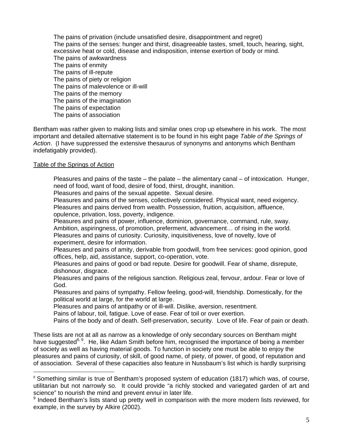The pains of privation (include unsatisfied desire, disappointment and regret) The pains of the senses: hunger and thirst, disagreeable tastes, smell, touch, hearing, sight, excessive heat or cold, disease and indisposition, intense exertion of body or mind. The pains of awkwardness The pains of enmity The pains of ill-repute The pains of piety or religion The pains of malevolence or ill-will The pains of the memory The pains of the imagination The pains of expectation The pains of association

Bentham was rather given to making lists and similar ones crop up elsewhere in his work. The most important and detailed alternative statement is to be found in his eight page *Table of the Springs of Action*. (I have suppressed the extensive thesaurus of synonyms and antonyms which Bentham indefatigably provided).

#### Table of the Springs of Action

1

Pleasures and pains of the taste – the palate – the alimentary canal – of intoxication. Hunger, need of food, want of food, desire of food, thirst, drought, inanition.

Pleasures and pains of the sexual appetite. Sexual desire.

Pleasures and pains of the senses, collectively considered. Physical want, need exigency. Pleasures and pains derived from wealth. Possession, fruition, acquisition, affluence, opulence, privation, loss, poverty, indigence.

Pleasures and pains of power, influence, dominion, governance, command, rule, sway. Ambition, aspiringness, of promotion, preferment, advancement… of rising in the world. Pleasures and pains of curiosity. Curiosity, inquisitiveness, love of novelty, love of experiment, desire for information.

Pleasures and pains of amity, derivable from goodwill, from free services: good opinion, good offices, help, aid, assistance, support, co-operation, vote.

Pleasures and pains of good or bad repute. Desire for goodwill. Fear of shame, disrepute, dishonour, disgrace.

Pleasures and pains of the religious sanction. Religious zeal, fervour, ardour. Fear or love of God.

Pleasures and pains of sympathy. Fellow feeling, good-will, friendship. Domestically, for the political world at large, for the world at large.

Pleasures and pains of antipathy or of ill-will. Dislike, aversion, resentment.

Pains of labour, toil, fatigue. Love of ease. Fear of toil or over exertion.

Pains of the body and of death. Self-preservation, security. Love of life. Fear of pain or death.

These lists are not at all as narrow as a knowledge of only secondary sources on Bentham might have suggested<sup>[8,](#page-4-0) 9</sup>. He, like Adam Smith before him, recognised the importance of being a member of society as well as having material goods. To function in society one must be able to enjoy the pleasures and pains of curiosity, of skill, of good name, of piety, of power, of good, of reputation and of association. Several of these capacities also feature in Nussbaum's list which is hardly surprising

<span id="page-4-0"></span><sup>&</sup>lt;sup>8</sup> Something similar is true of Bentham's proposed system of education (1817) which was, of course, utilitarian but not narrowly so. It could provide "a richly stocked and variegated garden of art and science" to nourish the mind and prevent *ennui* in later life.

<span id="page-4-1"></span><sup>&</sup>lt;sup>9</sup> Indeed Bentham's lists stand up pretty well in comparison with the more modern lists reviewed, for example, in the survey by Alkire (2002).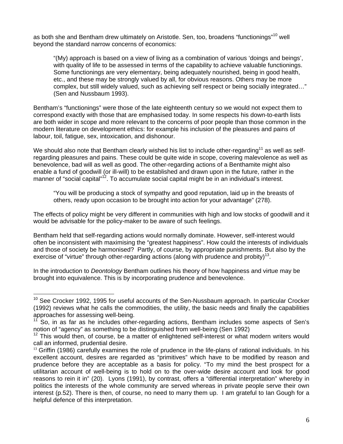as both she and Bentham drew ultimately on Aristotle. Sen, too, broadens "functionings"<sup>10</sup> well beyond the standard narrow concerns of economics:

"(My) approach is based on a view of living as a combination of various 'doings and beings', with quality of life to be assessed in terms of the capability to achieve valuable functionings. Some functionings are very elementary, being adequately nourished, being in good health, etc., and these may be strongly valued by all, for obvious reasons. Others may be more complex, but still widely valued, such as achieving self respect or being socially integrated…" (Sen and Nussbaum 1993).

Bentham's "functionings" were those of the late eighteenth century so we would not expect them to correspond exactly with those that are emphasised today. In some respects his down-to-earth lists are both wider in scope and more relevant to the concerns of poor people than those common in the modern literature on development ethics: for example his inclusion of the pleasures and pains of labour, toil, fatigue, sex, intoxication, and dishonour.

We should also note that Bentham clearly wished his list to include other-regarding<sup>11</sup> as well as selfregarding pleasures and pains. These could be quite wide in scope, covering malevolence as well as benevolence, bad will as well as good. The other-regarding actions of a Benthamite might also enable a fund of goodwill (or ill-will) to be established and drawn upon in the future, rather in the manner of "social capital"<sup>12</sup>. To accumulate social capital might be in an individual's interest.

"You will be producing a stock of sympathy and good reputation, laid up in the breasts of others, ready upon occasion to be brought into action for your advantage" (278).

The effects of policy might be very different in communities with high and low stocks of goodwill and it would be advisable for the policy-maker to be aware of such feelings.

Bentham held that self-regarding actions would normally dominate. However, self-interest would often be inconsistent with maximising the "greatest happiness". How could the interests of individuals and those of society be harmonised? Partly, of course, by appropriate punishments. But also by the exercise of "virtue" through other-regarding actions (along with prudence and probity)<sup>13</sup>.

In the introduction to *Deontology* Bentham outlines his theory of how happiness and virtue may be brought into equivalence. This is by incorporating prudence and benevolence.

1

<span id="page-5-0"></span><sup>&</sup>lt;sup>10</sup> See Crocker 1992, 1995 for useful accounts of the Sen-Nussbaum approach. In particular Crocker (1992) reviews what he calls the commodities, the utility, the basic needs and finally the capabilities approaches for assessing well-being.<br><sup>11</sup> So, in as far as he includes other-regarding actions, Bentham includes some aspects of Sen's

<span id="page-5-1"></span>notion of "agency" as something to be distinguished from well-being (Sen 1992)

<span id="page-5-2"></span> $12$  This would then, of course, be a matter of enlightened self-interest or what modern writers would call an informed, prudential desire.

<span id="page-5-3"></span> $<sup>13</sup>$  Griffin (1986) carefully examines the role of prudence in the life-plans of rational individuals. In his</sup> excellent account, desires are regarded as "primitives" which have to be modified by reason and prudence before they are acceptable as a basis for policy. "To my mind the best prospect for a utilitarian account of well-being is to hold on to the over-wide desire account and look for good reasons to rein it in" (20). Lyons (1991), by contrast, offers a "differential interpretation" whereby in politics the interests of the whole community are served whereas in private people serve their own interest (p.52). There is then, of course, no need to marry them up. I am grateful to Ian Gough for a helpful defence of this interpretation.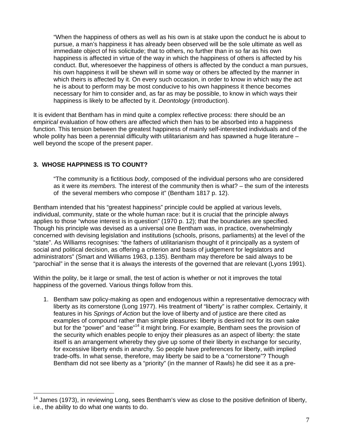"When the happiness of others as well as his own is at stake upon the conduct he is about to pursue, a man's happiness it has already been observed will be the sole ultimate as well as immediate object of his solicitude; that to others, no further than in so far as his own happiness is affected in virtue of the way in which the happiness of others is affected by his conduct. But, wheresoever the happiness of others is affected by the conduct a man pursues, his own happiness it will be shewn will in some way or others be affected by the manner in which theirs is affected by it. On every such occasion, in order to know in which way the act he is about to perform may be most conducive to his own happiness it thence becomes necessary for him to consider and, as far as may be possible, to know in which ways their happiness is likely to be affected by it. *Deontology* (introduction).

It is evident that Bentham has in mind quite a complex reflective process: there should be an *empirical* evaluation of how others are affected which then has to be absorbed into a happiness function. This tension between the greatest happiness of mainly self-interested individuals and of the whole polity has been a perennial difficulty with utilitarianism and has spawned a huge literature – well beyond the scope of the present paper.

### **3. WHOSE HAPPINESS IS TO COUNT?**

1

"The community is a fictitious *body*, composed of the individual persons who are considered as it were its *members.* The interest of the community then is what? – the sum of the interests of the several members who compose it" (Bentham 1817 p. 12).

Bentham intended that his "greatest happiness" principle could be applied at various levels, individual, community, state or the whole human race: but it is crucial that the principle always applies to those "whose interest is in question" (1970 p. 12); that the boundaries are specified. Though his principle was devised as a universal one Bentham was, in practice, overwhelmingly concerned with devising legislation and institutions (schools, prisons, parliaments) at the level of the "state". As Williams recognises: "the fathers of utilitarianism thought of it principally as a system of social and political decision, as offering a criterion and basis of judgement for legislators and administrators" (Smart and Williams 1963, p.135). Bentham may therefore be said always to be "parochial" in the sense that it is always the interests of the governed that are relevant (Lyons 1991).

Within the polity, be it large or small, the test of action is whether or not it improves the total happiness of the governed. Various things follow from this.

1. Bentham saw policy-making as open and endogenous within a representative democracy with liberty as its cornerstone (Long 1977). His treatment of "liberty" is rather complex. Certainly, it features in his *Springs of Action* but the love of liberty and of justice are there cited as examples of compound rather than simple pleasures: liberty is desired not for its own sake but for the "power" and "ease"<sup>14</sup> it might bring. For example, Bentham sees the provision of the security which enables people to enjoy their pleasures as an aspect of liberty: the state itself is an arrangement whereby they give up some of their liberty in exchange for security, for excessive liberty ends in anarchy. So people have preferences for liberty, with implied trade-offs. In what sense, therefore, may liberty be said to be a "cornerstone"? Though Bentham did not see liberty as a "priority" (in the manner of Rawls) he did see it as a pre-

<span id="page-6-0"></span><sup>&</sup>lt;sup>14</sup> James (1973), in reviewing Long, sees Bentham's view as close to the positive definition of liberty, i.e., the ability to do what one wants to do.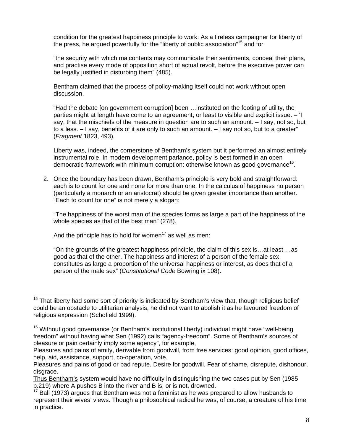condition for the greatest happiness principle to work. As a tireless campaigner for liberty of the press, he argued powerfully for the "liberty of public association"<sup>15</sup> and for

"the security with which malcontents may communicate their sentiments, conceal their plans, and practise every mode of opposition short of actual revolt, before the executive power can be legally justified in disturbing them" (485).

Bentham claimed that the process of policy-making itself could not work without open discussion.

"Had the debate [on government corruption] been …instituted on the footing of utility, the parties might at length have come to an agreement; or least to visible and explicit issue. – 'I say, that the mischiefs of the measure in question are to such an amount. – I say, not so, but to a less.  $-1$  say, benefits of it are only to such an amount.  $-1$  say not so, but to a greater" (*Fragment* 1823, 493).

Liberty was, indeed, the cornerstone of Bentham's system but it performed an almost entirely instrumental role. In modern development parlance, policy is best formed in an open democratic framework with minimum corruption: otherwise known as good governance<sup>16</sup>.

2. Once the boundary has been drawn, Bentham's principle is very bold and straightforward: each is to count for one and none for more than one. In the calculus of happiness no person (particularly a monarch or an aristocrat) should be given greater importance than another. "Each to count for one" is not merely a slogan:

"The happiness of the worst man of the species forms as large a part of the happiness of the whole species as that of the best man" (278).

And the principle has to hold for women<sup>17</sup> as well as men:

1

"On the grounds of the greatest happiness principle, the claim of this sex is…at least …as good as that of the other. The happiness and interest of a person of the female sex, constitutes as large a proportion of the universal happiness or interest, as does that of a person of the male sex" (*Constitutional Code* Bowring ix 108).

<span id="page-7-0"></span> $15$  That liberty had some sort of priority is indicated by Bentham's view that, though religious belief could be an obstacle to utilitarian analysis, he did not want to abolish it as he favoured freedom of religious expression (Schofield 1999).

<span id="page-7-1"></span><sup>&</sup>lt;sup>16</sup> Without good governance (or Bentham's institutional liberty) individual might have "well-being freedom" without having what Sen (1992) calls "agency-freedom". Some of Bentham's sources of pleasure or pain certainly imply some agency", for example,

Pleasures and pains of amity, derivable from goodwill, from free services: good opinion, good offices, help, aid, assistance, support, co-operation, vote.

Pleasures and pains of good or bad repute. Desire for goodwill. Fear of shame, disrepute, dishonour, disgrace.

Thus Bentham's system would have no difficulty in distinguishing the two cases put by Sen (1985 p.219) where A pushes B into the river and B is, or is not, drowned.

<span id="page-7-2"></span><sup>17</sup> Ball (1973) argues that Bentham was not a feminist as he was prepared to allow husbands to represent their wives' views. Though a philosophical radical he was, of course, a creature of his time in practice.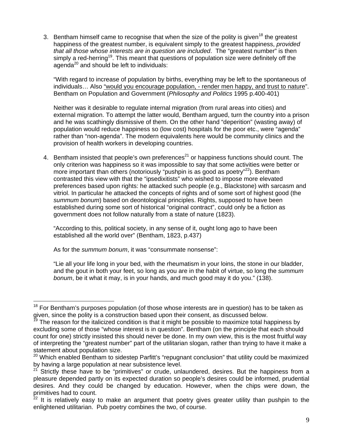3. Bentham himself came to recognise that when the size of the polity is given<sup>18</sup> the greatest happiness of the greatest number, is equivalent simply to the greatest happiness, *provided that all those whose interests are in question are included*. The "greatest number" is then simply a red-herring<sup>19</sup>. This meant that questions of population size were definitely off the agenda $^{20}$  and should be left to individuals:

"With regard to increase of population by births, everything may be left to the spontaneous of individuals… Also "would you encourage population, - render men happy, and trust to nature". Bentham on Population and Government (*Philosophy and Politics* 1995 p.400-401)

Neither was it desirable to regulate internal migration (from rural areas into cities) and external migration. To attempt the latter would, Bentham argued, turn the country into a prison and he was scathingly dismissive of them. On the other hand "deperition" (wasting away) of population would reduce happiness so (low cost) hospitals for the poor etc., were "agenda" rather than "non-agenda". The modern equivalents here would be community clinics and the provision of health workers in developing countries.

4. Bentham insisted that people's own preferences<sup>21</sup> or happiness functions should count. The only criterion was happiness so it was impossible to say that some activities were better or more important than others (notoriously "pushpin is as good as poetry"<sup>22</sup>). Bentham contrasted this view with that the "ipsedixitists" who wished to impose more elevated preferences based upon rights: he attacked such people (e.g., Blackstone) with sarcasm and vitriol. In particular he attacked the concepts of rights and of some sort of highest good (the *summum bonum*) based on deontological principles. Rights, supposed to have been established during some sort of historical "original contract", could only be a fiction as government does not follow naturally from a state of nature (1823).

"According to this, political society, in any sense of it, ought long ago to have been established all the world over" (Bentham, 1823, p.437)

As for the *summum bonum*, it was "consummate nonsense":

<u>.</u>

"Lie all your life long in your bed, with the rheumatism in your loins, the stone in our bladder, and the gout in both your feet, so long as you are in the habit of virtue, so long the *summum bonum*, be it what it may, is in your hands, and much good may it do you." (138).

<span id="page-8-0"></span> $18$  For Bentham's purposes population (of those whose interests are in question) has to be taken as given, since the polity is a construction based upon their consent, as discussed below.<br><sup>19</sup> The reason for the italicized condition is that it might be possible to maximize total happiness by

<span id="page-8-1"></span>excluding some of those "whose interest is in question". Bentham (on the principle that each should count for one) strictly insisted this should never be done. In my own view, this is the most fruitful way of interpreting the "greatest number" part of the utilitarian slogan, rather than trying to have it make a statement about population size.

<span id="page-8-2"></span><sup>&</sup>lt;sup>20</sup> Which enabled Bentham to sidestep Parfitt's "repugnant conclusion" that utility could be maximized by having a large population at near subsistence level.

<span id="page-8-3"></span>Strictly these have to be "primitives" or crude, unlaundered, desires. But the happiness from a pleasure depended partly on its expected duration so people's desires could be informed, prudential desires. And they could be changed by education. However, when the chips were down, the

<span id="page-8-4"></span>primitives had to count.<br><sup>22</sup> It is relatively easy to make an argument that poetry gives greater utility than pushpin to the enlightened utilitarian. Pub poetry combines the two, of course.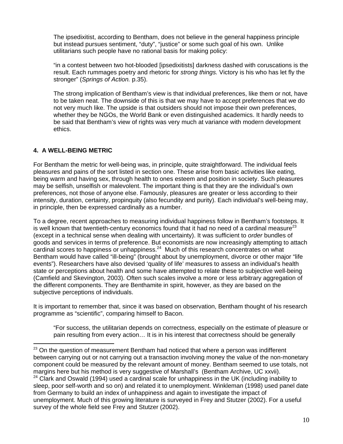The ipsedixitist, according to Bentham, does not believe in the general happiness principle but instead pursues sentiment, "duty", "justice" or some such goal of his own. Unlike utilitarians such people have no rational basis for making policy:

"in a contest between two hot-blooded [ipsedixitists] darkness dashed with coruscations is the result. Each rummages poetry and rhetoric for *strong things.* Victory is his who has let fly the stronger" (*Springs of Action.* p.35).

The strong implication of Bentham's view is that individual preferences, like them or not, have to be taken neat. The downside of this is that we may have to accept preferences that we do not very much like. The upside is that outsiders should not impose their own preferences, whether they be NGOs, the World Bank or even distinguished academics. It hardly needs to be said that Bentham's view of rights was very much at variance with modern development ethics.

## **4. A WELL-BEING METRIC**

1

For Bentham the metric for well-being was, in principle, quite straightforward. The individual feels pleasures and pains of the sort listed in section one. These arise from basic activities like eating, being warm and having sex, through health to ones esteem and position in society. Such pleasures may be selfish, unselfish or malevolent. The important thing is that they are the individual's own preferences, not those of anyone else. Famously, pleasures are greater or less according to their intensity, duration, certainty, propinquity (also fecundity and purity). Each individual's well-being may, in principle, then be expressed cardinally as a number.

To a degree, recent approaches to measuring individual happiness follow in Bentham's footsteps. It is well known that twentieth-century economics found that it had no need of a cardinal measure<sup>[23](#page-9-0)</sup> (except in a technical sense when dealing with uncertainty). It was sufficient to *order* bundles of goods and services in terms of preference. But economists are now increasingly attempting to attach cardinal scores to happiness or unhappiness.<sup>24</sup> Much of this research concentrates on what Bentham would have called "ill-being" (brought about by unemployment, divorce or other major "life events"). Researchers have also devised 'quality of life' measures to assess an individual's health state or perceptions about health and some have attempted to relate these to subjective well-being (Camfield and Skevington, 2003). Often such scales involve a more or less arbitrary aggregation of the different components. They are Benthamite in spirit, however, as they are based on the subjective perceptions of individuals.

It is important to remember that, since it was based on observation, Bentham thought of his research programme as "scientific", comparing himself to Bacon.

"For success, the utilitarian depends on correctness, especially on the estimate of pleasure or pain resulting from every action… It is in his interest that correctness should be generally

<span id="page-9-0"></span> $23$  On the question of measurement Bentham had noticed that where a person was indifferent between carrying out or not carrying out a transaction involving money the value of the non-monetary component could be measured by the relevant amount of money. Bentham seemed to use totals, not margins here but his method is very suggestive of Marshall's (Bentham Archive, UC xxvii).

<span id="page-9-1"></span> $24$  Clark and Oswald (1994) used a cardinal scale for unhappiness in the UK (including inability to sleep, poor self-worth and so on) and related it to unemployment. Winkleman (1998) used panel date from Germany to build an index of unhappiness and again to investigate the impact of unemployment. Much of this growing literature is surveyed in Frey and Stutzer (2002). For a useful survey of the whole field see Frey and Stutzer (2002).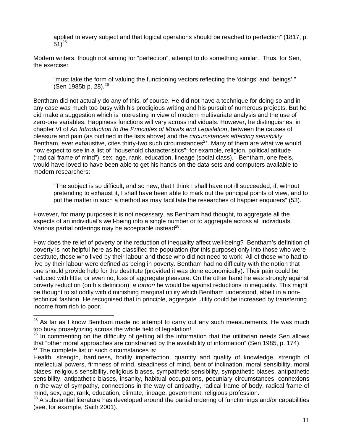applied to every subject and that logical operations should be reached to perfection" (1817, p. 51)<sup>[25](#page-10-0)</sup>

Modern writers, though not aiming for "perfection", attempt to do something similar. Thus, for Sen, the exercise:

"must take the form of valuing the functioning vectors reflecting the 'doings' and 'beings'." (Sen 1985b p. 28).  $26$ 

Bentham did not actually do any of this, of course. He did not have a technique for doing so and in any case was much too busy with his prodigious writing and his pursuit of numerous projects. But he did make a suggestion which is interesting in view of modern multivariate analysis and the use of zero-one variables. Happiness functions will vary across individuals. However, he distinguishes, in chapter VI of *An Introduction to the Principles of Morals and Legislation*, between the causes of pleasure and pain (as outlined in the lists above) and the *circumstances affecting sensibility.*  Bentham, ever exhaustive, cites thirty-two such circumstances<sup>27</sup>. Many of them are what we would now expect to see in a list of "household characteristics": for example, religion, political attitude ("radical frame of mind"), sex, age, rank, education, lineage (social class). Bentham, one feels, would have loved to have been able to get his hands on the data sets and computers available to modern researchers:

"The subject is so difficult, and so new, that I think I shall have not ill succeeded, if, without pretending to exhaust it, I shall have been able to mark out the principal points of view, and to put the matter in such a method as may facilitate the researches of happier enquirers" (53).

However, for many purposes it is not necessary, as Bentham had thought, to aggregate all the aspects of an individual's well-being into a single number or to aggregate across all individuals. Various partial orderings may be acceptable instead $^{28}$ .

How does the relief of poverty or the reduction of inequality affect well-being? Bentham's definition of poverty is not helpful here as he classified the population (for this purpose) only into those who were destitute, those who lived by their labour and those who did not need to work. All of those who had to live by their labour were defined as being in poverty. Bentham had no difficulty with the notion that one should provide help for the destitute (provided it was done economically). Their pain could be reduced with little, or even no, loss of aggregate pleasure. On the other hand he was strongly against poverty reduction (on his definition): *a fortiori* he would be against reductions in inequality. This might be thought to sit oddly with diminishing marginal utility which Bentham understood, albeit in a nontechnical fashion. He recognised that in principle, aggregate utility could be increased by transferring income from rich to poor.

1

<span id="page-10-0"></span> $25$  As far as I know Bentham made no attempt to carry out any such measurements. He was much too busy proselytizing across the whole field of legislation!

<span id="page-10-1"></span><sup>&</sup>lt;sup>26</sup> In commenting on the difficulty of getting all the information that the utilitarian needs Sen allows that "other moral approaches are constrained by the availability of information" (Sen 1985, p. 174).  $27$  The complete list of such circumstances is:

<span id="page-10-2"></span>Health, strength, hardiness, bodily imperfection, quantity and quality of knowledge, strength of intellectual powers, firmness of mind, steadiness of mind, bent of inclination, moral sensibility, moral biases, religious sensibility, religious biases, sympathetic sensibility, sympathetic biases, antipathetic sensibility, antipathetic biases, insanity, habitual occupations, pecuniary circumstances, connexions in the way of sympathy, connections in the way of antipathy, radical frame of body, radical frame of mind, sex, age, rank, education, climate, lineage, government, religious profession.

<span id="page-10-3"></span><sup>&</sup>lt;sup>28</sup> A substantial literature has developed around the partial ordering of functionings and/or capabilities (see, for example, Saith 2001).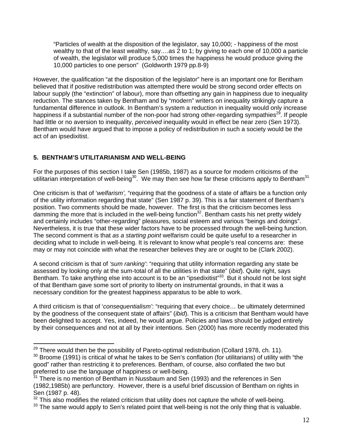"Particles of wealth at the disposition of the legislator, say 10,000; - happiness of the most wealthy to that of the least wealthy, say….as 2 to 1; by giving to each one of 10,000 a particle of wealth, the legislator will produce 5,000 times the happiness he would produce giving the 10,000 particles to one person" (Goldworth 1979 pp.8-9)

However, the qualification "at the disposition of the legislator" here is an important one for Bentham believed that if positive redistribution was attempted there would be strong second order effects on labour supply (the "extinction" of labour), more than offsetting any gain in happiness due to inequality reduction. The stances taken by Bentham and by "modern" writers on inequality strikingly capture a fundamental difference in outlook. In Bentham's system a reduction in inequality would only increase happiness if a substantial number of the non-poor had strong other-regarding sympathies<sup>29</sup>. If people had little or no aversion to inequality, *perceived* inequality would in effect be near zero (Sen 1973). Bentham would have argued that to impose a policy of redistribution in such a society would be the act of an ipsedixitist.

## **5. BENTHAM'S UTILITARIANISM AND WELL-BEING**

1

For the purposes of this section I take Sen (1985b, 1987) as a source for modern criticisms of the utilitarian interpretation of well-being<sup>30</sup>. We may then see how far these criticisms apply to Bentham<sup>31</sup>

One criticism is that of '*welfarism',* "requiring that the goodness of a state of affairs be a function only of the utility information regarding that state" (Sen 1987 p. 39). This is a fair statement of Bentham's position. Two comments should be made, however. The first is that the criticism becomes less damming the more that is included in the well-being function<sup>32</sup>. Bentham casts his net pretty widely and certainly includes "other-regarding" pleasures, social esteem and various "beings and doings". Nevertheless, it is true that these wider factors have to be processed through the well-being function. The second comment is that *as a starting point* welfarism could be quite useful to a researcher in deciding what to include in well-being. It is relevant to know what people's real concerns are: these may or may not coincide with what the researcher believes they are or ought to be (Clark 2002).

A second criticism is that of *'sum ranking'*: "requiring that utility information regarding any state be assessed by looking only at the sum-total of all the utilities in that state" (*ibid*). Quite right, says Bentham. To take anything else into account is to be an "ipsedixitist"<sup>33</sup>. But it should not be lost sight of that Bentham gave some sort of priority to liberty on instrumental grounds, in that it was a necessary condition for the greatest happiness apparatus to be able to work.

A third criticism is that of '*consequentialism'*: "requiring that every choice… be ultimately determined by the goodness of the consequent state of affairs" (*ibid*). This is a criticism that Bentham would have been delighted to accept. Yes, indeed, he would argue. Policies and laws should be judged entirely by their consequences and not at all by their intentions. Sen (2000) has more recently moderated this

<span id="page-11-0"></span> $29$  There would then be the possibility of Pareto-optimal redistribution (Collard 1978, ch. 11).

<span id="page-11-1"></span> $30$  Broome (1991) is critical of what he takes to be Sen's conflation (for utilitarians) of utility with "the good" rather than restricting it to preferences. Bentham, of course, also conflated the two but preferred to use the language of happiness or well-being.

<span id="page-11-2"></span><sup>&</sup>lt;sup>31</sup> There is no mention of Bentham in Nussbaum and Sen (1993) and the references in Sen (1982,1985b) are perfunctory. However, there is a useful brief discussion of Bentham on rights in Sen (1987 p. 48).

<span id="page-11-3"></span> $32$  This also modifies the related criticism that utility does not capture the whole of well-being.

<span id="page-11-4"></span> $33$  The same would apply to Sen's related point that well-being is not the only thing that is valuable.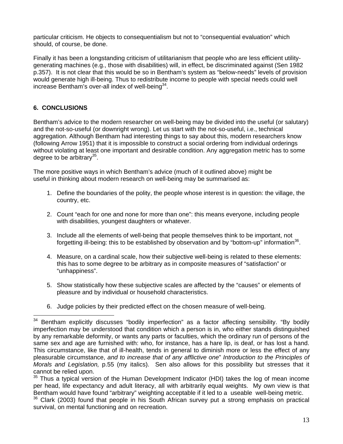particular criticism. He objects to consequentialism but not to "consequential evaluation" which should, of course, be done.

Finally it has been a longstanding criticism of utilitarianism that people who are less efficient utilitygenerating machines (e.g., those with disabilities) will, in effect, be discriminated against (Sen 1982 p.357). It is not clear that this would be so in Bentham's system as "below-needs" levels of provision would generate high ill-being. Thus to redistribute income to people with special needs could well increase Bentham's over-all index of well-being $34$ .

## **6. CONCLUSIONS**

Bentham's advice to the modern researcher on well-being may be divided into the useful (or salutary) and the not-so-useful (or downright wrong). Let us start with the not-so-useful, i.e., technical aggregation. Although Bentham had interesting things to say about this, modern researchers know (following Arrow 1951) that it is impossible to construct a social ordering from individual orderings without violating at least one important and desirable condition. Any aggregation metric has to some degree to be arbitrary $35$ .

The more positive ways in which Bentham's advice (much of it outlined above) might be useful in thinking about modern research on well-being may be summarised as:

- 1. Define the boundaries of the polity, the people whose interest is in question: the village, the country, etc.
- 2. Count "each for one and none for more than one": this means everyone, including people with disabilities, youngest daughters or whatever.
- 3. Include all the elements of well-being that people themselves think to be important, not forgetting ill-being: this to be established by observation and by "bottom-up" information<sup>36</sup>.
- 4. Measure, on a cardinal scale, how their subjective well-being is related to these elements: this has to some degree to be arbitrary as in composite measures of "satisfaction" or "unhappiness".
- 5. Show statistically how these subjective scales are affected by the "causes" or elements of pleasure and by individual or household characteristics.
- 6. Judge policies by their predicted effect on the chosen measure of well-being.

<span id="page-12-0"></span><sup>1</sup>  $34$  Bentham explicitly discusses "bodily imperfection" as a factor affecting sensibility. "By bodily imperfection may be understood that condition which a person is in, who either stands distinguished by any remarkable deformity, or wants any parts or faculties, which the ordinary run of persons of the same sex and age are furnished with: who, for instance, has a hare lip, is deaf, or has lost a hand. This circumstance, like that of ill-health, tends in general to diminish more or less the effect of any pleasurable circumstance, *and to increase that of any afflictive one*" *Introduction to the Principles of Morals and Legislation,* p.55 (my italics). Sen also allows for this possibility but stresses that it cannot be relied upon.

<span id="page-12-1"></span> $35$  Thus a typical version of the Human Development Indicator (HDI) takes the log of mean income per head, life expectancy and adult literacy, all with arbitrarily equal weights. My own view is that Bentham would have found "arbitrary" weighting acceptable if it led to a useable well-being metric.

<span id="page-12-2"></span><sup>&</sup>lt;sup>36</sup> Clark (2003) found that people in his South African survey put a strong emphasis on practical survival, on mental functioning and on recreation.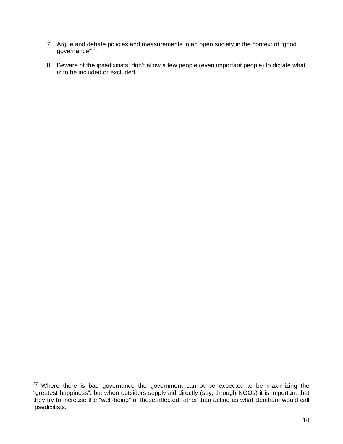- 7. Argue and debate policies and measurements in an open society in the context of "good governance"<sup>37</sup>.
- 8. Beware of the ipsedixitists: don't allow a few people (even important people) to dictate what is to be included or excluded.

<u>.</u>

<span id="page-13-0"></span> $37$  Where there is bad governance the government cannot be expected to be maximizing the "greatest happiness": but when outsiders supply aid directly (say, through NGOs) it is important that they try to increase the "well-being" of those affected rather than acting as what Bentham would call ipsedixitists.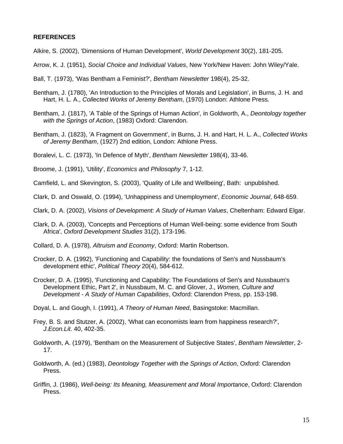#### **REFERENCES**

Alkire, S. (2002), 'Dimensions of Human Development', *World Development* 30(2), 181-205.

- Arrow, K. J. (1951), *Social Choice and Individual Values*, New York/New Haven: John Wiley/Yale.
- Ball, T. (1973), 'Was Bentham a Feminist?', *Bentham Newsletter* 198(4), 25-32.
- Bentham, J. (1780), 'An Introduction to the Principles of Morals and Legislation', in Burns, J. H. and Hart, H. L. A., *Collected Works of Jeremy Bentham*, (1970) London: Athlone Press.
- Bentham, J. (1817), 'A Table of the Springs of Human Action', in Goldworth, A., *Deontology together with the Springs of Action*, (1983) Oxford: Clarendon.
- Bentham, J. (1823), 'A Fragment on Government', in Burns, J. H. and Hart, H. L. A., *Collected Works of Jeremy Bentham*, (1927) 2nd edition, London: Athlone Press.

Boralevi, L. C. (1973), 'In Defence of Myth', *Bentham Newsletter* 198(4), 33-46.

Broome, J. (1991), 'Utility', *Economics and Philosophy* 7, 1-12.

Camfield, L. and Skevington, S. (2003), 'Quality of Life and Wellbeing', Bath: unpublished.

Clark, D. and Oswald, O. (1994), 'Unhappiness and Unemployment', *Economic Journal*, 648-659.

Clark, D. A. (2002), *Visions of Development: A Study of Human Values*, Cheltenham: Edward Elgar.

- Clark, D. A. (2003), 'Concepts and Perceptions of Human Well-being: some evidence from South Africa', *Oxford Development Studies* 31(2), 173-196.
- Collard, D. A. (1978), *Altruism and Economy*, Oxford: Martin Robertson.
- Crocker, D. A. (1992), 'Functioning and Capability: the foundations of Sen's and Nussbaum's development ethic', *Political Theory* 20(4), 584-612.
- Crocker, D. A. (1995), 'Functioning and Capability: The Foundations of Sen's and Nussbaum's Development Ethic, Part 2', in Nussbaum, M. C. and Glover, J., *Women, Culture and Development - A Study of Human Capabilities*, Oxford: Clarendon Press, pp. 153-198.

Doyal, L. and Gough, I. (1991), *A Theory of Human Need*, Basingstoke: Macmillan.

- Frey, B. S. and Stutzer, A. (2002), 'What can economists learn from happiness research?', *J.Econ.Lit.* 40, 402-35.
- Goldworth, A. (1979), 'Bentham on the Measurement of Subjective States', *Bentham Newsletter*, 2- 17.
- Goldworth, A. (ed.) (1983), *Deontology Together with the Springs of Action*, Oxford: Clarendon Press.
- Griffin, J. (1986), *Well-being: Its Meaning, Measurement and Moral Importance*, Oxford: Clarendon Press.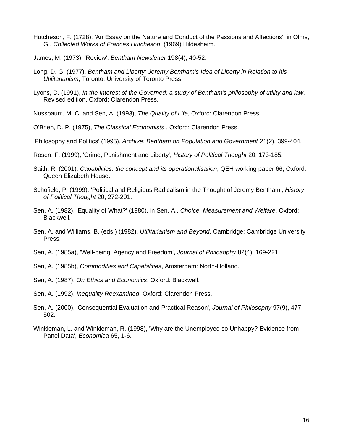Hutcheson, F. (1728), 'An Essay on the Nature and Conduct of the Passions and Affections', in Olms, G., *Collected Works of Frances Hutcheson*, (1969) Hildesheim.

James, M. (1973), 'Review', *Bentham Newsletter* 198(4), 40-52.

- Long, D. G. (1977), *Bentham and Liberty: Jeremy Bentham's Idea of Liberty in Relation to his Utilitarianism*, Toronto: University of Toronto Press.
- Lyons, D. (1991), *In the Interest of the Governed: a study of Bentham's philosophy of utility and law*, Revised edition, Oxford: Clarendon Press.
- Nussbaum, M. C. and Sen, A. (1993), *The Quality of Life*, Oxford: Clarendon Press.
- O'Brien, D. P. (1975), *The Classical Economists* , Oxford: Clarendon Press.
- 'Philosophy and Politics' (1995), *Archive: Bentham on Population and Government* 21(2), 399-404.
- Rosen, F. (1999), 'Crime, Punishment and Liberty', *History of Political Thought* 20, 173-185.
- Saith, R. (2001), *Capabilities: the concept and its operationalisation*, QEH working paper 66, Oxford: Queen Elizabeth House.
- Schofield, P. (1999), 'Political and Religious Radicalism in the Thought of Jeremy Bentham', *History of Political Thought* 20, 272-291.
- Sen, A. (1982), 'Equality of What?' (1980), in Sen, A., *Choice, Measurement and Welfare*, Oxford: Blackwell.
- Sen, A. and Williams, B. (eds.) (1982), *Utilitarianism and Beyond*, Cambridge: Cambridge University Press.
- Sen, A. (1985a), 'Well-being, Agency and Freedom', *Journal of Philosophy* 82(4), 169-221.
- Sen, A. (1985b), *Commodities and Capabilities*, Amsterdam: North-Holland.
- Sen, A. (1987), *On Ethics and Economics*, Oxford: Blackwell.
- Sen, A. (1992), *Inequality Reexamined*, Oxford: Clarendon Press.
- Sen, A. (2000), 'Consequential Evaluation and Practical Reason', *Journal of Philosophy* 97(9), 477- 502.
- Winkleman, L. and Winkleman, R. (1998), 'Why are the Unemployed so Unhappy? Evidence from Panel Data', *Economica* 65, 1-6.